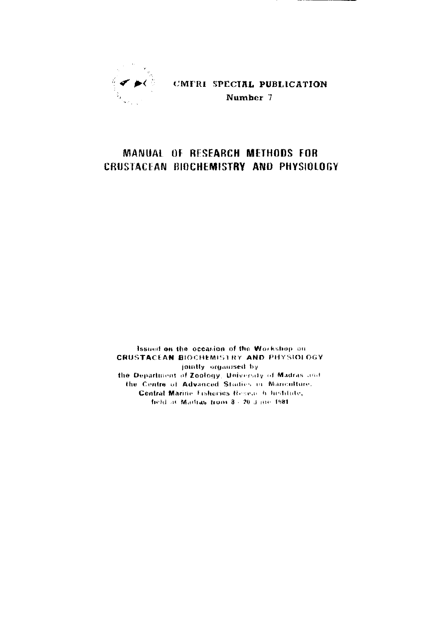

CMFRI SPECIAL PUBLICATION Number 7

## MANUAL OF RESEARCH METHODS FOR CRUSTACEAN BIOCHEMISTRY AND PHYSIOLOGY

Issued on the occasion of the Workshop on **CRUSTACEAN BIOCHEMISTRY AND PHYSIOLOGY** jointly organised by the Department of Zoology, University of Madras and the Centre of Advanced Studies in Manculture. Central Marine Eisheries Resear h histitute, held at Mathas from 8 - 20 d me 1981.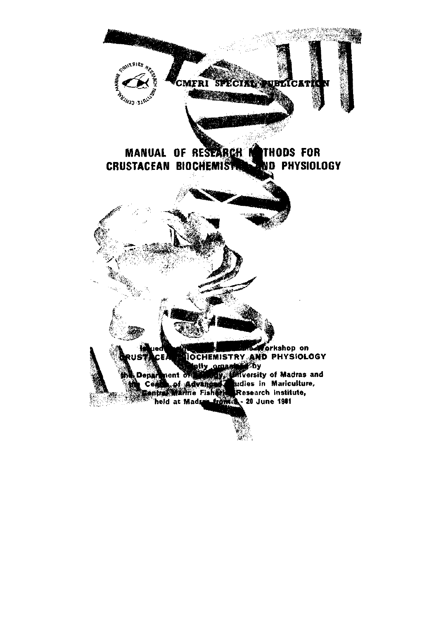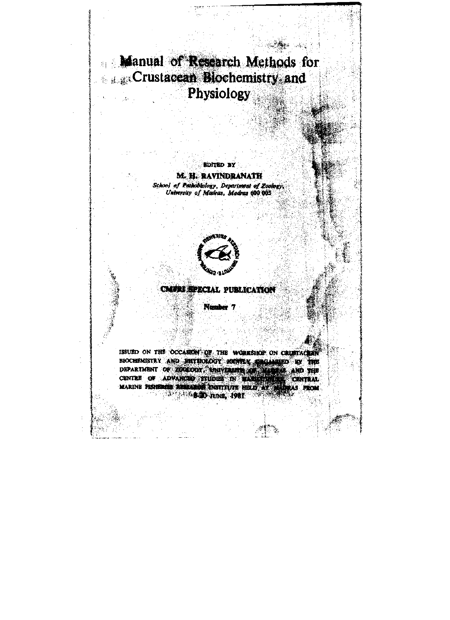Manual of Research Methods for Crustacean Blochemistry and Physiology

> **EDITED BY** M. H. RAVINDRANATH School of Pathobiology, Department of Zoology,<br>University of Madras, Madras 600.003



**CMURI SPECIAL PUBLICATION** 

Number 7

ISSUED ON THE OCCASION OF THE WORKSHOP ON CRUSTACER BIOCHEMISTRY AND PHYSIOLOGY KNINTLY CROWNED BY THE DEPARTMENT OF ZOOLOGY ENIVERSITY AND FILE MARINE PISHEROE SEEMEDE DISTITUTE HELD AT **A BOD AND, 1981**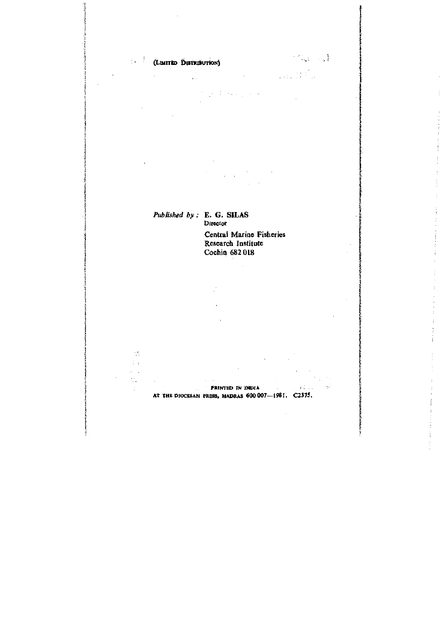

 $\{x_i\}_{i=1}^n$  and  $\{x_i\}_{i=1}^n$ 

**AT THE DIOCESAN PRESS, MADRAS 600007—1981 . C2375 .** 

 $\bar{\beta}$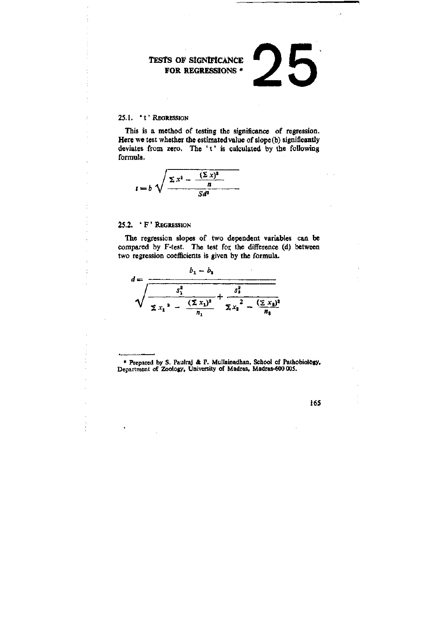## TESTS OF SIGNIFICANCE FOR REGRESSIONS \*

## 25.1. 't' Regression

This is a method of testing the significance of regression. Here we test whether the estimated value of slope (b) significantly deviates from zero. The 't' is calculated by the following formula.

$$
t = b \sqrt{\frac{\sum x^2 - \frac{(\sum x)^2}{n}}{Sd^2}}
$$

## 25.2. ' F ' REGRESSION

The regression slopes of two dependent variables can be compared by F-test. The test for the difference (d) between two regression coefficients is given by the formula.



\* Prepared by S. Paulraj & P. Mullainadhan, School of Pathobiology, Department of Zoology, University of Madras, Madras-600 005.

165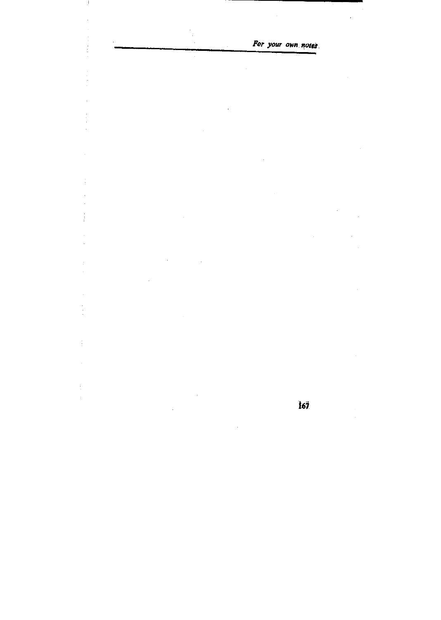